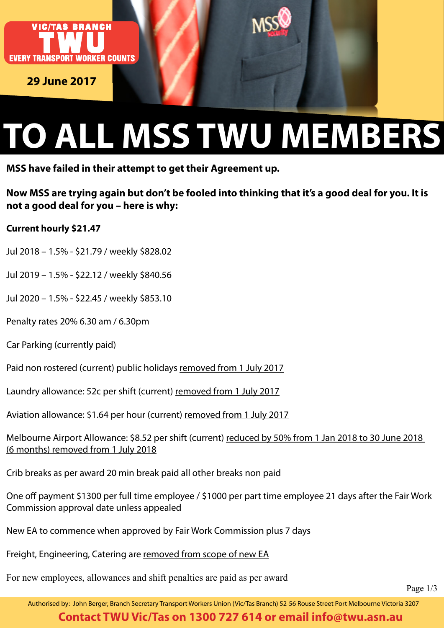

**29 June 2017**

# **TO ALL MSS TWU MEMBERS**

**MSS have failed in their attempt to get their Agreement up.**

**Now MSS are trying again but don't be fooled into thinking that it's a good deal for you. It is not a good deal for you – here is why:**

#### **Current hourly \$21.47**

Jul 2018 – 1.5% - \$21.79 / weekly \$828.02

- Jul 2019 1.5% \$22.12 / weekly \$840.56
- Jul 2020 1.5% \$22.45 / weekly \$853.10
- Penalty rates 20% 6.30 am / 6.30pm
- Car Parking (currently paid)

Paid non rostered (current) public holidays removed from 1 July 2017

Laundry allowance: 52c per shift (current) removed from 1 July 2017

Aviation allowance: \$1.64 per hour (current) removed from 1 July 2017

Melbourne Airport Allowance: \$8.52 per shift (current) reduced by 50% from 1 Jan 2018 to 30 June 2018 (6 months) removed from 1 July 2018

Crib breaks as per award 20 min break paid all other breaks non paid

One off payment \$1300 per full time employee / \$1000 per part time employee 21 days after the Fair Work Commission approval date unless appealed

New EA to commence when approved by Fair Work Commission plus 7 days

Freight, Engineering, Catering are removed from scope of new EA

For new employees, allowances and shift penalties are paid as per award

Page 1/3

Authorised by: John Berger, Branch Secretary Transport Workers Union (Vic/Tas Branch) 52-56 Rouse Street Port Melbourne Victoria 3207

#### **Contact TWU Vic/Tas on 1300 727 614 or email info@twu.asn.au**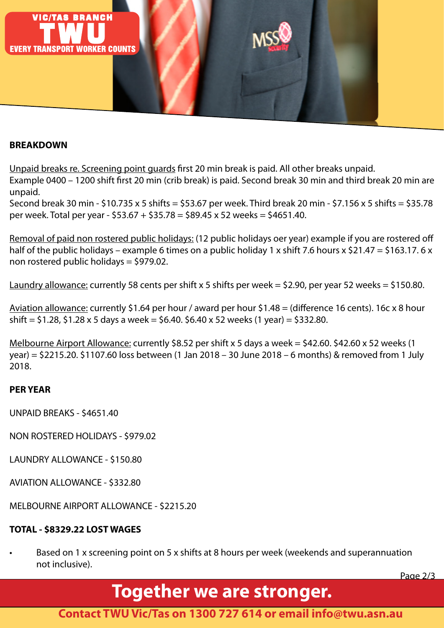

#### **BREAKDOWN**

Unpaid breaks re. Screening point guards first 20 min break is paid. All other breaks unpaid.

Example 0400 – 1200 shift first 20 min (crib break) is paid. Second break 30 min and third break 20 min are unpaid.

Second break 30 min - \$10.735 x 5 shifts = \$53.67 per week. Third break 20 min - \$7.156 x 5 shifts = \$35.78 per week. Total per year - \$53.67 + \$35.78 = \$89.45 x 52 weeks = \$4651.40.

Removal of paid non rostered public holidays: (12 public holidays oer year) example if you are rostered off half of the public holidays – example 6 times on a public holiday 1 x shift 7.6 hours x \$21.47 = \$163.17. 6 x non rostered public holidays = \$979.02.

Laundry allowance: currently 58 cents per shift x 5 shifts per week = \$2.90, per year 52 weeks = \$150.80.

Aviation allowance: currently \$1.64 per hour / award per hour \$1.48 = (difference 16 cents). 16c x 8 hour shift =  $$1.28, $1.28 \times 5 \text{ days}$  a week =  $$6.40. $6.40 \times 52 \text{ weeks}$  (1 year) =  $$332.80$ .

Melbourne Airport Allowance: currently \$8.52 per shift x 5 days a week = \$42.60. \$42.60 x 52 weeks (1 year) = \$2215.20. \$1107.60 loss between (1 Jan 2018 – 30 June 2018 – 6 months) & removed from 1 July 2018.

#### **PER YEAR**

- UNPAID BREAKS \$4651.40
- NON ROSTERED HOLIDAYS \$979.02
- LAUNDRY ALLOWANCE \$150.80
- AVIATION ALLOWANCE \$332.80
- MELBOURNE AIRPORT ALLOWANCE \$2215.20

#### **TOTAL - \$8329.22 LOST WAGES**

Based on 1 x screening point on 5 x shifts at 8 hours per week (weekends and superannuation not inclusive).

Page 2/3

## **Together we are stronger.**

**Contact TWU Vic/Tas on 1300 727 614 or email info@twu.asn.au**